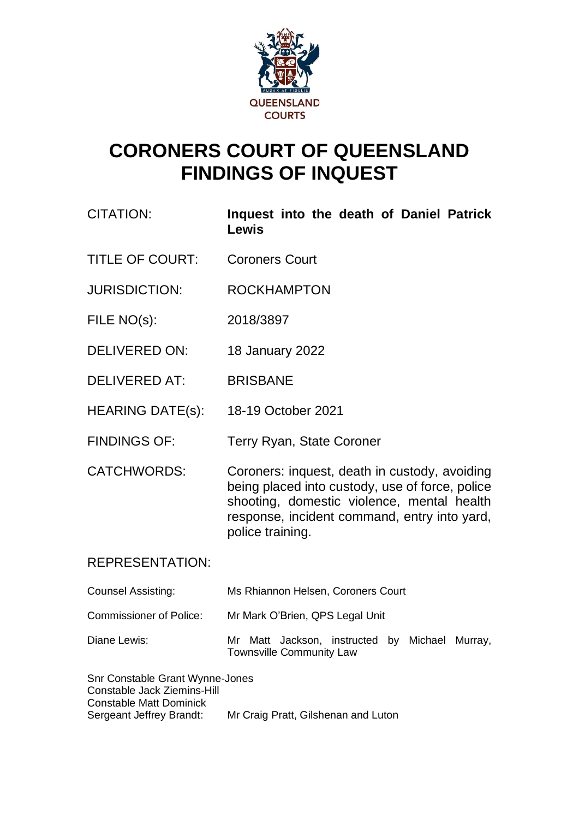

# **CORONERS COURT OF QUEENSLAND FINDINGS OF INQUEST**

- CITATION: **Inquest into the death of Daniel Patrick Lewis**
- TITLE OF COURT: Coroners Court
- JURISDICTION: ROCKHAMPTON
- FILE NO(s): 2018/3897
- DELIVERED ON: 18 January 2022
- DELIVERED AT: BRISBANE
- HEARING DATE(s): 18-19 October 2021
- FINDINGS OF: Terry Ryan, State Coroner
- CATCHWORDS: Coroners: inquest, death in custody, avoiding being placed into custody, use of force, police shooting, domestic violence, mental health response, incident command, entry into yard, police training.

### REPRESENTATION:

| <b>Counsel Assisting:</b>      | Ms Rhiannon Helsen, Coroners Court                                                |
|--------------------------------|-----------------------------------------------------------------------------------|
| <b>Commissioner of Police:</b> | Mr Mark O'Brien, QPS Legal Unit                                                   |
| Diane Lewis:                   | Mr Matt Jackson, instructed by Michael Murray,<br><b>Townsville Community Law</b> |

| Snr Constable Grant Wynne-Jones |                                     |
|---------------------------------|-------------------------------------|
| Constable Jack Ziemins-Hill     |                                     |
| <b>Constable Matt Dominick</b>  |                                     |
| Sergeant Jeffrey Brandt:        | Mr Craig Pratt, Gilshenan and Luton |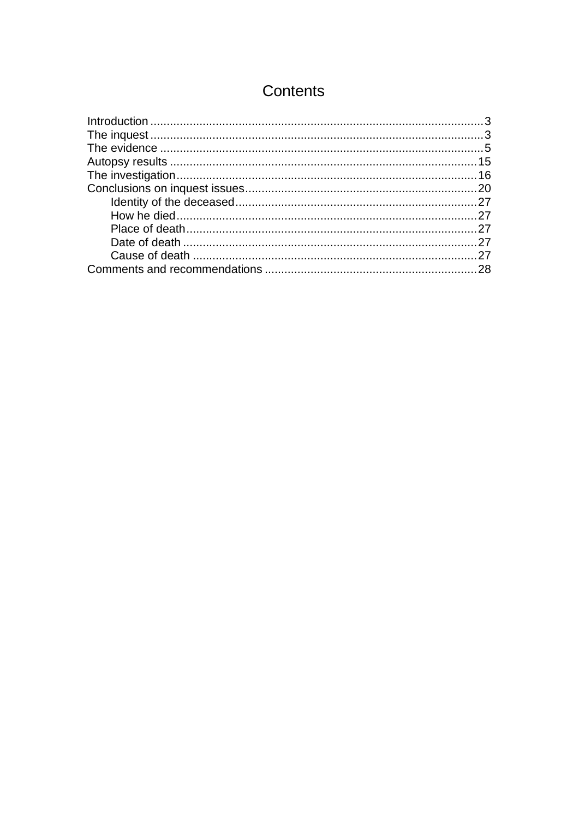# Contents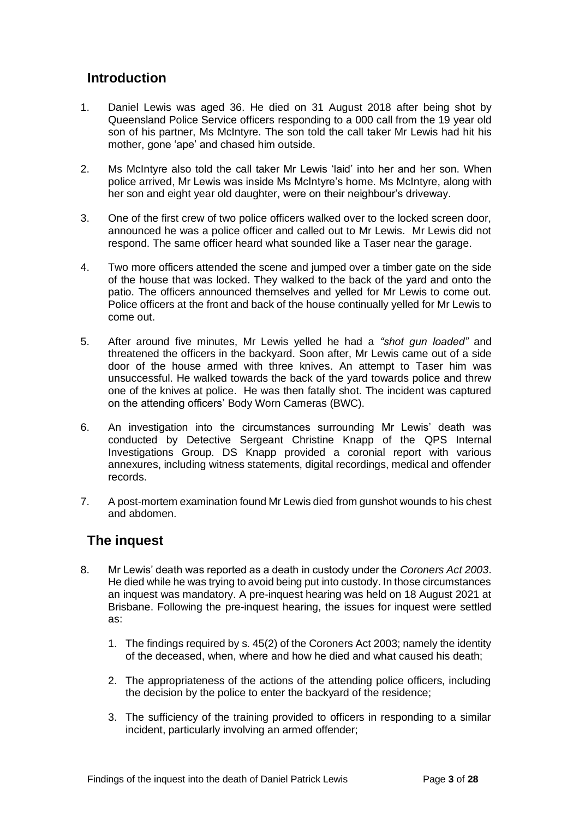### <span id="page-2-0"></span>**Introduction**

- 1. Daniel Lewis was aged 36. He died on 31 August 2018 after being shot by Queensland Police Service officers responding to a 000 call from the 19 year old son of his partner, Ms McIntyre. The son told the call taker Mr Lewis had hit his mother, gone 'ape' and chased him outside.
- 2. Ms McIntyre also told the call taker Mr Lewis 'laid' into her and her son. When police arrived, Mr Lewis was inside Ms McIntyre's home. Ms McIntyre, along with her son and eight year old daughter, were on their neighbour's driveway.
- 3. One of the first crew of two police officers walked over to the locked screen door, announced he was a police officer and called out to Mr Lewis. Mr Lewis did not respond. The same officer heard what sounded like a Taser near the garage.
- 4. Two more officers attended the scene and jumped over a timber gate on the side of the house that was locked. They walked to the back of the yard and onto the patio. The officers announced themselves and yelled for Mr Lewis to come out. Police officers at the front and back of the house continually yelled for Mr Lewis to come out.
- 5. After around five minutes, Mr Lewis yelled he had a *"shot gun loaded"* and threatened the officers in the backyard. Soon after, Mr Lewis came out of a side door of the house armed with three knives. An attempt to Taser him was unsuccessful. He walked towards the back of the yard towards police and threw one of the knives at police. He was then fatally shot. The incident was captured on the attending officers' Body Worn Cameras (BWC).
- 6. An investigation into the circumstances surrounding Mr Lewis' death was conducted by Detective Sergeant Christine Knapp of the QPS Internal Investigations Group. DS Knapp provided a coronial report with various annexures, including witness statements, digital recordings, medical and offender records.
- 7. A post-mortem examination found Mr Lewis died from gunshot wounds to his chest and abdomen.

# <span id="page-2-1"></span>**The inquest**

- 8. Mr Lewis' death was reported as a death in custody under the *Coroners Act 2003*. He died while he was trying to avoid being put into custody. In those circumstances an inquest was mandatory. A pre-inquest hearing was held on 18 August 2021 at Brisbane. Following the pre-inquest hearing, the issues for inquest were settled as:
	- 1. The findings required by s. 45(2) of the Coroners Act 2003; namely the identity of the deceased, when, where and how he died and what caused his death;
	- 2. The appropriateness of the actions of the attending police officers, including the decision by the police to enter the backyard of the residence;
	- 3. The sufficiency of the training provided to officers in responding to a similar incident, particularly involving an armed offender;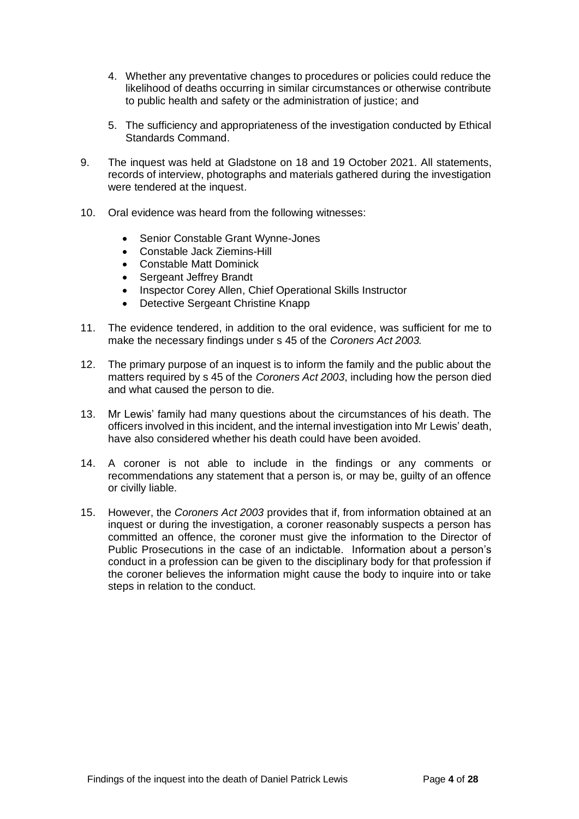- 4. Whether any preventative changes to procedures or policies could reduce the likelihood of deaths occurring in similar circumstances or otherwise contribute to public health and safety or the administration of justice; and
- 5. The sufficiency and appropriateness of the investigation conducted by Ethical Standards Command.
- 9. The inquest was held at Gladstone on 18 and 19 October 2021. All statements, records of interview, photographs and materials gathered during the investigation were tendered at the inquest.
- 10. Oral evidence was heard from the following witnesses:
	- Senior Constable Grant Wynne-Jones
	- Constable Jack Ziemins-Hill
	- Constable Matt Dominick
	- Sergeant Jeffrey Brandt
	- Inspector Corey Allen, Chief Operational Skills Instructor
	- Detective Sergeant Christine Knapp
- 11. The evidence tendered, in addition to the oral evidence, was sufficient for me to make the necessary findings under s 45 of the *Coroners Act 2003.*
- 12. The primary purpose of an inquest is to inform the family and the public about the matters required by s 45 of the *Coroners Act 2003*, including how the person died and what caused the person to die.
- 13. Mr Lewis' family had many questions about the circumstances of his death. The officers involved in this incident, and the internal investigation into Mr Lewis' death, have also considered whether his death could have been avoided.
- 14. A coroner is not able to include in the findings or any comments or recommendations any statement that a person is, or may be, guilty of an offence or civilly liable.
- 15. However, the *Coroners Act 2003* provides that if, from information obtained at an inquest or during the investigation, a coroner reasonably suspects a person has committed an offence, the coroner must give the information to the Director of Public Prosecutions in the case of an indictable. Information about a person's conduct in a profession can be given to the disciplinary body for that profession if the coroner believes the information might cause the body to inquire into or take steps in relation to the conduct.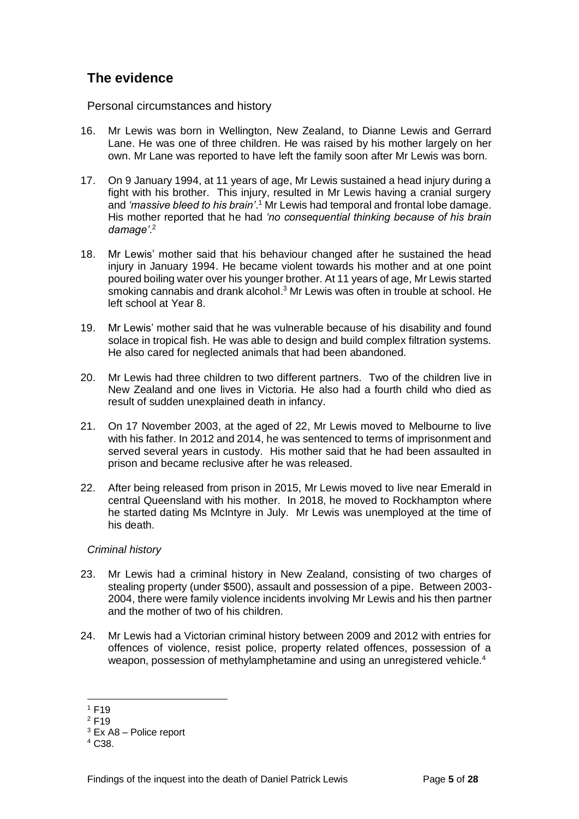# <span id="page-4-0"></span>**The evidence**

Personal circumstances and history

- 16. Mr Lewis was born in Wellington, New Zealand, to Dianne Lewis and Gerrard Lane. He was one of three children. He was raised by his mother largely on her own. Mr Lane was reported to have left the family soon after Mr Lewis was born.
- 17. On 9 January 1994, at 11 years of age, Mr Lewis sustained a head injury during a fight with his brother. This injury, resulted in Mr Lewis having a cranial surgery and *'massive bleed to his brain'*. <sup>1</sup> Mr Lewis had temporal and frontal lobe damage. His mother reported that he had *'no consequential thinking because of his brain damage'*. 2
- 18. Mr Lewis' mother said that his behaviour changed after he sustained the head injury in January 1994. He became violent towards his mother and at one point poured boiling water over his younger brother. At 11 years of age, Mr Lewis started smoking cannabis and drank alcohol.<sup>3</sup> Mr Lewis was often in trouble at school. He left school at Year 8.
- 19. Mr Lewis' mother said that he was vulnerable because of his disability and found solace in tropical fish. He was able to design and build complex filtration systems. He also cared for neglected animals that had been abandoned.
- 20. Mr Lewis had three children to two different partners. Two of the children live in New Zealand and one lives in Victoria. He also had a fourth child who died as result of sudden unexplained death in infancy.
- 21. On 17 November 2003, at the aged of 22, Mr Lewis moved to Melbourne to live with his father. In 2012 and 2014, he was sentenced to terms of imprisonment and served several years in custody. His mother said that he had been assaulted in prison and became reclusive after he was released.
- 22. After being released from prison in 2015, Mr Lewis moved to live near Emerald in central Queensland with his mother. In 2018, he moved to Rockhampton where he started dating Ms McIntyre in July. Mr Lewis was unemployed at the time of his death.

### *Criminal history*

- 23. Mr Lewis had a criminal history in New Zealand, consisting of two charges of stealing property (under \$500), assault and possession of a pipe. Between 2003- 2004, there were family violence incidents involving Mr Lewis and his then partner and the mother of two of his children.
- 24. Mr Lewis had a Victorian criminal history between 2009 and 2012 with entries for offences of violence, resist police, property related offences, possession of a weapon, possession of methylamphetamine and using an unregistered vehicle.<sup>4</sup>

 $1 F19$ 

<sup>2</sup> F19

 $3$  Ex A8 – Police report

 $4 \, C.38$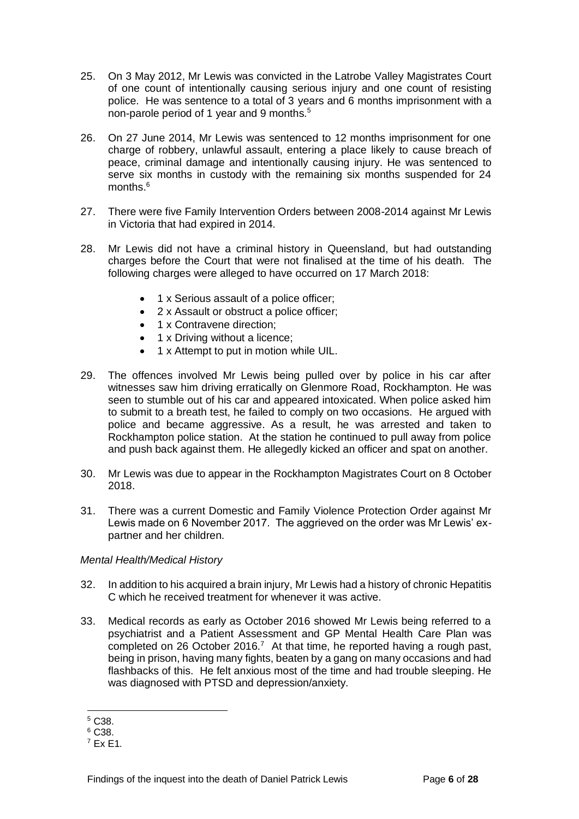- 25. On 3 May 2012, Mr Lewis was convicted in the Latrobe Valley Magistrates Court of one count of intentionally causing serious injury and one count of resisting police. He was sentence to a total of 3 years and 6 months imprisonment with a non-parole period of 1 year and 9 months.<sup>5</sup>
- 26. On 27 June 2014, Mr Lewis was sentenced to 12 months imprisonment for one charge of robbery, unlawful assault, entering a place likely to cause breach of peace, criminal damage and intentionally causing injury. He was sentenced to serve six months in custody with the remaining six months suspended for 24 months.<sup>6</sup>
- 27. There were five Family Intervention Orders between 2008-2014 against Mr Lewis in Victoria that had expired in 2014.
- 28. Mr Lewis did not have a criminal history in Queensland, but had outstanding charges before the Court that were not finalised at the time of his death. The following charges were alleged to have occurred on 17 March 2018:
	- 1 x Serious assault of a police officer;
	- 2 x Assault or obstruct a police officer;
	- 1 x Contravene direction;
	- 1 x Driving without a licence;
	- 1 x Attempt to put in motion while UIL.
- 29. The offences involved Mr Lewis being pulled over by police in his car after witnesses saw him driving erratically on Glenmore Road, Rockhampton. He was seen to stumble out of his car and appeared intoxicated. When police asked him to submit to a breath test, he failed to comply on two occasions. He argued with police and became aggressive. As a result, he was arrested and taken to Rockhampton police station. At the station he continued to pull away from police and push back against them. He allegedly kicked an officer and spat on another.
- 30. Mr Lewis was due to appear in the Rockhampton Magistrates Court on 8 October 2018.
- 31. There was a current Domestic and Family Violence Protection Order against Mr Lewis made on 6 November 2017. The aggrieved on the order was Mr Lewis' expartner and her children.

#### *Mental Health/Medical History*

- 32. In addition to his acquired a brain injury, Mr Lewis had a history of chronic Hepatitis C which he received treatment for whenever it was active.
- 33. Medical records as early as October 2016 showed Mr Lewis being referred to a psychiatrist and a Patient Assessment and GP Mental Health Care Plan was completed on 26 October 2016.<sup>7</sup> At that time, he reported having a rough past, being in prison, having many fights, beaten by a gang on many occasions and had flashbacks of this. He felt anxious most of the time and had trouble sleeping. He was diagnosed with PTSD and depression/anxiety.

<sup>5</sup> C38.

<sup>6</sup> C38.

 $7$  Fx F1.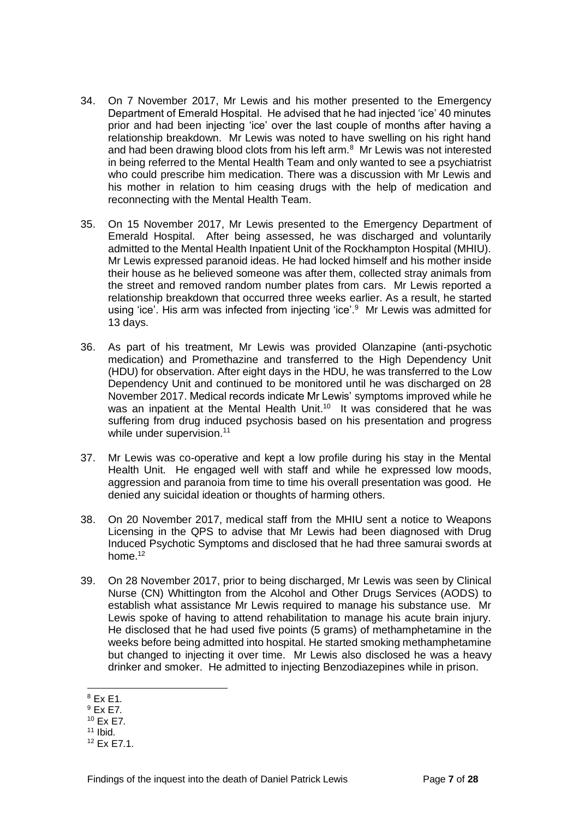- 34. On 7 November 2017, Mr Lewis and his mother presented to the Emergency Department of Emerald Hospital. He advised that he had injected 'ice' 40 minutes prior and had been injecting 'ice' over the last couple of months after having a relationship breakdown. Mr Lewis was noted to have swelling on his right hand and had been drawing blood clots from his left arm.<sup>8</sup> Mr Lewis was not interested in being referred to the Mental Health Team and only wanted to see a psychiatrist who could prescribe him medication. There was a discussion with Mr Lewis and his mother in relation to him ceasing drugs with the help of medication and reconnecting with the Mental Health Team.
- 35. On 15 November 2017, Mr Lewis presented to the Emergency Department of Emerald Hospital. After being assessed, he was discharged and voluntarily admitted to the Mental Health Inpatient Unit of the Rockhampton Hospital (MHIU). Mr Lewis expressed paranoid ideas. He had locked himself and his mother inside their house as he believed someone was after them, collected stray animals from the street and removed random number plates from cars. Mr Lewis reported a relationship breakdown that occurred three weeks earlier. As a result, he started using 'ice'. His arm was infected from injecting 'ice'.<sup>9</sup> Mr Lewis was admitted for 13 days.
- 36. As part of his treatment, Mr Lewis was provided Olanzapine (anti-psychotic medication) and Promethazine and transferred to the High Dependency Unit (HDU) for observation. After eight days in the HDU, he was transferred to the Low Dependency Unit and continued to be monitored until he was discharged on 28 November 2017. Medical records indicate Mr Lewis' symptoms improved while he was an inpatient at the Mental Health Unit.<sup>10</sup> It was considered that he was suffering from drug induced psychosis based on his presentation and progress while under supervision.<sup>11</sup>
- 37. Mr Lewis was co-operative and kept a low profile during his stay in the Mental Health Unit. He engaged well with staff and while he expressed low moods, aggression and paranoia from time to time his overall presentation was good. He denied any suicidal ideation or thoughts of harming others.
- 38. On 20 November 2017, medical staff from the MHIU sent a notice to Weapons Licensing in the QPS to advise that Mr Lewis had been diagnosed with Drug Induced Psychotic Symptoms and disclosed that he had three samurai swords at home.<sup>12</sup>
- 39. On 28 November 2017, prior to being discharged, Mr Lewis was seen by Clinical Nurse (CN) Whittington from the Alcohol and Other Drugs Services (AODS) to establish what assistance Mr Lewis required to manage his substance use. Mr Lewis spoke of having to attend rehabilitation to manage his acute brain injury. He disclosed that he had used five points (5 grams) of methamphetamine in the weeks before being admitted into hospital. He started smoking methamphetamine but changed to injecting it over time. Mr Lewis also disclosed he was a heavy drinker and smoker. He admitted to injecting Benzodiazepines while in prison.

 $8$  Ex E1.

<sup>9</sup> Ex E7.

<sup>10</sup> Ex E7.

 $11$  Ibid.

 $12$  Fx F7 1.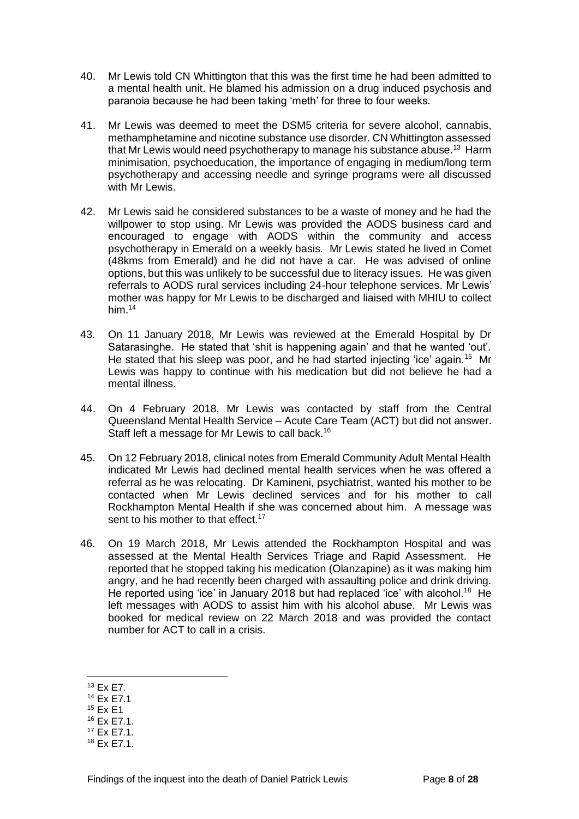- 40. Mr Lewis told CN Whittington that this was the first time he had been admitted to a mental health unit. He blamed his admission on a drug induced psychosis and paranoia because he had been taking 'meth' for three to four weeks.
- 41. Mr Lewis was deemed to meet the DSM5 criteria for severe alcohol, cannabis, methamphetamine and nicotine substance use disorder. CN Whittington assessed that Mr Lewis would need psychotherapy to manage his substance abuse.<sup>13</sup> Harm minimisation, psychoeducation, the importance of engaging in medium/long term psychotherapy and accessing needle and syringe programs were all discussed with Mr Lewis.
- 42. Mr Lewis said he considered substances to be a waste of money and he had the willpower to stop using. Mr Lewis was provided the AODS business card and encouraged to engage with AODS within the community and access psychotherapy in Emerald on a weekly basis. Mr Lewis stated he lived in Comet (48kms from Emerald) and he did not have a car. He was advised of online options, but this was unlikely to be successful due to literacy issues. He was given referrals to AODS rural services including 24-hour telephone services. Mr Lewis' mother was happy for Mr Lewis to be discharged and liaised with MHIU to collect him. 14
- 43. On 11 January 2018, Mr Lewis was reviewed at the Emerald Hospital by Dr Satarasinghe. He stated that 'shit is happening again' and that he wanted 'out'. He stated that his sleep was poor, and he had started injecting 'ice' again.<sup>15</sup> Mr Lewis was happy to continue with his medication but did not believe he had a mental illness.
- 44. On 4 February 2018, Mr Lewis was contacted by staff from the Central Queensland Mental Health Service – Acute Care Team (ACT) but did not answer. Staff left a message for Mr Lewis to call back.<sup>16</sup>
- 45. On 12 February 2018, clinical notes from Emerald Community Adult Mental Health indicated Mr Lewis had declined mental health services when he was offered a referral as he was relocating. Dr Kamineni, psychiatrist, wanted his mother to be contacted when Mr Lewis declined services and for his mother to call Rockhampton Mental Health if she was concerned about him. A message was sent to his mother to that effect.<sup>17</sup>
- 46. On 19 March 2018, Mr Lewis attended the Rockhampton Hospital and was assessed at the Mental Health Services Triage and Rapid Assessment. He reported that he stopped taking his medication (Olanzapine) as it was making him angry, and he had recently been charged with assaulting police and drink driving. He reported using 'ice' in January 2018 but had replaced 'ice' with alcohol.<sup>18</sup> He left messages with AODS to assist him with his alcohol abuse. Mr Lewis was booked for medical review on 22 March 2018 and was provided the contact number for ACT to call in a crisis.

<sup>15</sup> Ex E1

<sup>13</sup> Ex E7.

<sup>14</sup> Ex E7.1

<sup>16</sup> Ex E7.1.

 $17$  Fx F7 1.

 $18$  Fx F7 1.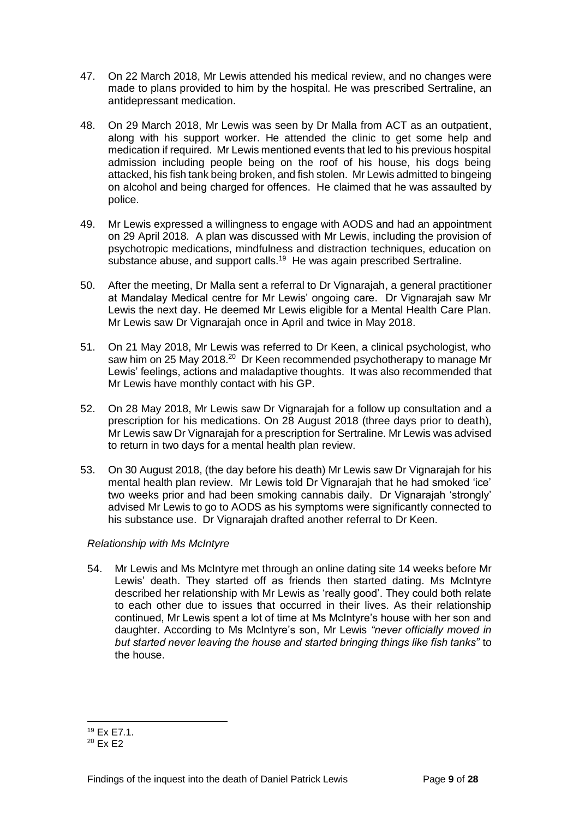- 47. On 22 March 2018, Mr Lewis attended his medical review, and no changes were made to plans provided to him by the hospital. He was prescribed Sertraline, an antidepressant medication.
- 48. On 29 March 2018, Mr Lewis was seen by Dr Malla from ACT as an outpatient, along with his support worker. He attended the clinic to get some help and medication if required. Mr Lewis mentioned events that led to his previous hospital admission including people being on the roof of his house, his dogs being attacked, his fish tank being broken, and fish stolen. Mr Lewis admitted to bingeing on alcohol and being charged for offences. He claimed that he was assaulted by police.
- 49. Mr Lewis expressed a willingness to engage with AODS and had an appointment on 29 April 2018. A plan was discussed with Mr Lewis, including the provision of psychotropic medications, mindfulness and distraction techniques, education on substance abuse, and support calls.<sup>19</sup> He was again prescribed Sertraline.
- 50. After the meeting, Dr Malla sent a referral to Dr Vignarajah, a general practitioner at Mandalay Medical centre for Mr Lewis' ongoing care. Dr Vignarajah saw Mr Lewis the next day. He deemed Mr Lewis eligible for a Mental Health Care Plan. Mr Lewis saw Dr Vignarajah once in April and twice in May 2018.
- 51. On 21 May 2018, Mr Lewis was referred to Dr Keen, a clinical psychologist, who saw him on 25 May 2018.<sup>20</sup> Dr Keen recommended psychotherapy to manage Mr Lewis' feelings, actions and maladaptive thoughts. It was also recommended that Mr Lewis have monthly contact with his GP.
- 52. On 28 May 2018, Mr Lewis saw Dr Vignarajah for a follow up consultation and a prescription for his medications. On 28 August 2018 (three days prior to death), Mr Lewis saw Dr Vignarajah for a prescription for Sertraline. Mr Lewis was advised to return in two days for a mental health plan review.
- 53. On 30 August 2018, (the day before his death) Mr Lewis saw Dr Vignarajah for his mental health plan review. Mr Lewis told Dr Vignarajah that he had smoked 'ice' two weeks prior and had been smoking cannabis daily. Dr Vignarajah 'strongly' advised Mr Lewis to go to AODS as his symptoms were significantly connected to his substance use. Dr Vignarajah drafted another referral to Dr Keen.

#### *Relationship with Ms McIntyre*

54. Mr Lewis and Ms McIntyre met through an online dating site 14 weeks before Mr Lewis' death. They started off as friends then started dating. Ms McIntyre described her relationship with Mr Lewis as 'really good'. They could both relate to each other due to issues that occurred in their lives. As their relationship continued, Mr Lewis spent a lot of time at Ms McIntyre's house with her son and daughter. According to Ms McIntyre's son, Mr Lewis *"never officially moved in but started never leaving the house and started bringing things like fish tanks"* to the house.

<sup>19</sup> Ex E7.1.

 $20$  Fx F2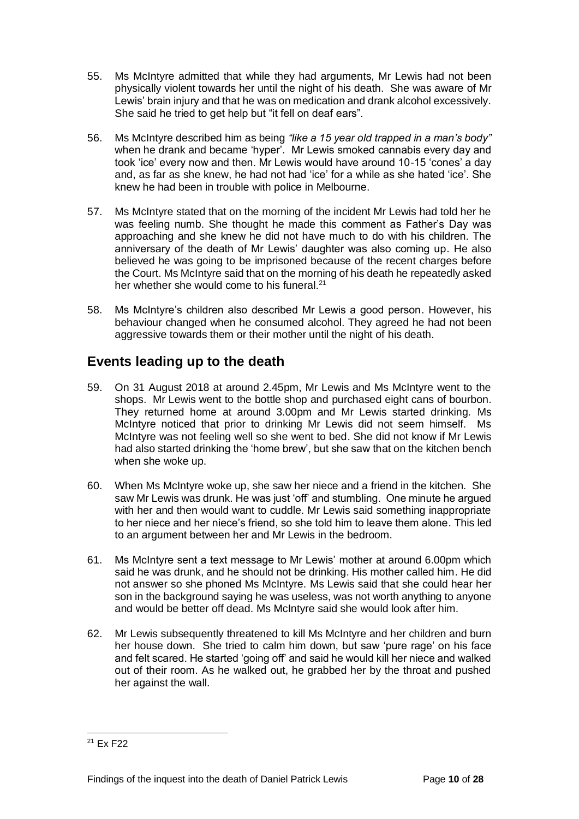- 55. Ms McIntyre admitted that while they had arguments, Mr Lewis had not been physically violent towards her until the night of his death. She was aware of Mr Lewis' brain injury and that he was on medication and drank alcohol excessively. She said he tried to get help but "it fell on deaf ears".
- 56. Ms McIntyre described him as being *"like a 15 year old trapped in a man's body"*  when he drank and became 'hyper'. Mr Lewis smoked cannabis every day and took 'ice' every now and then. Mr Lewis would have around 10-15 'cones' a day and, as far as she knew, he had not had 'ice' for a while as she hated 'ice'. She knew he had been in trouble with police in Melbourne.
- 57. Ms McIntyre stated that on the morning of the incident Mr Lewis had told her he was feeling numb. She thought he made this comment as Father's Day was approaching and she knew he did not have much to do with his children. The anniversary of the death of Mr Lewis' daughter was also coming up. He also believed he was going to be imprisoned because of the recent charges before the Court. Ms McIntyre said that on the morning of his death he repeatedly asked her whether she would come to his funeral.<sup>21</sup>
- 58. Ms McIntyre's children also described Mr Lewis a good person. However, his behaviour changed when he consumed alcohol. They agreed he had not been aggressive towards them or their mother until the night of his death.

### **Events leading up to the death**

- 59. On 31 August 2018 at around 2.45pm, Mr Lewis and Ms McIntyre went to the shops. Mr Lewis went to the bottle shop and purchased eight cans of bourbon. They returned home at around 3.00pm and Mr Lewis started drinking. Ms McIntyre noticed that prior to drinking Mr Lewis did not seem himself. Ms McIntyre was not feeling well so she went to bed. She did not know if Mr Lewis had also started drinking the 'home brew', but she saw that on the kitchen bench when she woke up.
- 60. When Ms McIntyre woke up, she saw her niece and a friend in the kitchen. She saw Mr Lewis was drunk. He was just 'off' and stumbling. One minute he argued with her and then would want to cuddle. Mr Lewis said something inappropriate to her niece and her niece's friend, so she told him to leave them alone. This led to an argument between her and Mr Lewis in the bedroom.
- 61. Ms McIntyre sent a text message to Mr Lewis' mother at around 6.00pm which said he was drunk, and he should not be drinking. His mother called him. He did not answer so she phoned Ms McIntyre. Ms Lewis said that she could hear her son in the background saying he was useless, was not worth anything to anyone and would be better off dead. Ms McIntyre said she would look after him.
- 62. Mr Lewis subsequently threatened to kill Ms McIntyre and her children and burn her house down. She tried to calm him down, but saw 'pure rage' on his face and felt scared. He started 'going off' and said he would kill her niece and walked out of their room. As he walked out, he grabbed her by the throat and pushed her against the wall.

 $21$  Fx F22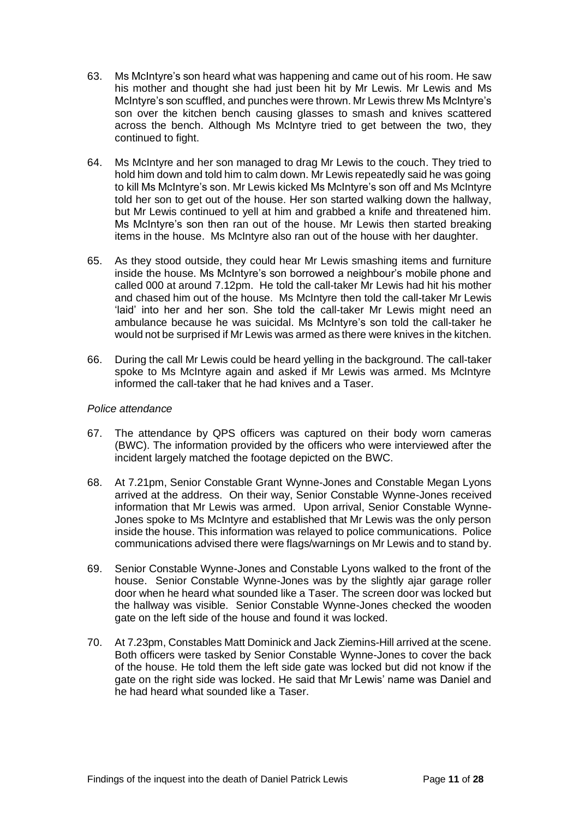- 63. Ms McIntyre's son heard what was happening and came out of his room. He saw his mother and thought she had just been hit by Mr Lewis. Mr Lewis and Ms McIntyre's son scuffled, and punches were thrown. Mr Lewis threw Ms McIntyre's son over the kitchen bench causing glasses to smash and knives scattered across the bench. Although Ms McIntyre tried to get between the two, they continued to fight.
- 64. Ms McIntyre and her son managed to drag Mr Lewis to the couch. They tried to hold him down and told him to calm down. Mr Lewis repeatedly said he was going to kill Ms McIntyre's son. Mr Lewis kicked Ms McIntyre's son off and Ms McIntyre told her son to get out of the house. Her son started walking down the hallway, but Mr Lewis continued to yell at him and grabbed a knife and threatened him. Ms McIntyre's son then ran out of the house. Mr Lewis then started breaking items in the house. Ms McIntyre also ran out of the house with her daughter.
- 65. As they stood outside, they could hear Mr Lewis smashing items and furniture inside the house. Ms McIntyre's son borrowed a neighbour's mobile phone and called 000 at around 7.12pm. He told the call-taker Mr Lewis had hit his mother and chased him out of the house. Ms McIntyre then told the call-taker Mr Lewis 'laid' into her and her son. She told the call-taker Mr Lewis might need an ambulance because he was suicidal. Ms McIntyre's son told the call-taker he would not be surprised if Mr Lewis was armed as there were knives in the kitchen.
- 66. During the call Mr Lewis could be heard yelling in the background. The call-taker spoke to Ms McIntyre again and asked if Mr Lewis was armed. Ms McIntyre informed the call-taker that he had knives and a Taser.

#### *Police attendance*

- 67. The attendance by QPS officers was captured on their body worn cameras (BWC). The information provided by the officers who were interviewed after the incident largely matched the footage depicted on the BWC.
- 68. At 7.21pm, Senior Constable Grant Wynne-Jones and Constable Megan Lyons arrived at the address. On their way, Senior Constable Wynne-Jones received information that Mr Lewis was armed. Upon arrival, Senior Constable Wynne-Jones spoke to Ms McIntyre and established that Mr Lewis was the only person inside the house. This information was relayed to police communications. Police communications advised there were flags/warnings on Mr Lewis and to stand by.
- 69. Senior Constable Wynne-Jones and Constable Lyons walked to the front of the house. Senior Constable Wynne-Jones was by the slightly ajar garage roller door when he heard what sounded like a Taser. The screen door was locked but the hallway was visible. Senior Constable Wynne-Jones checked the wooden gate on the left side of the house and found it was locked.
- 70. At 7.23pm, Constables Matt Dominick and Jack Ziemins-Hill arrived at the scene. Both officers were tasked by Senior Constable Wynne-Jones to cover the back of the house. He told them the left side gate was locked but did not know if the gate on the right side was locked. He said that Mr Lewis' name was Daniel and he had heard what sounded like a Taser.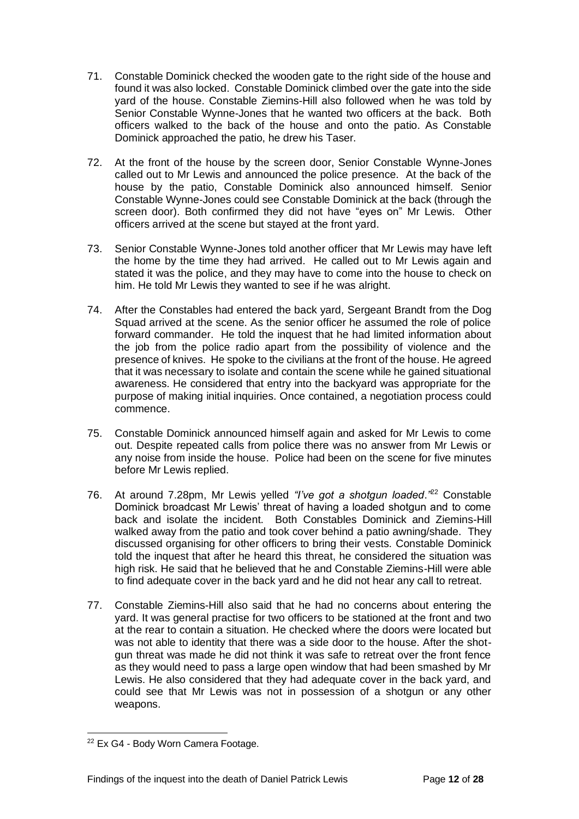- 71. Constable Dominick checked the wooden gate to the right side of the house and found it was also locked. Constable Dominick climbed over the gate into the side yard of the house. Constable Ziemins-Hill also followed when he was told by Senior Constable Wynne-Jones that he wanted two officers at the back. Both officers walked to the back of the house and onto the patio. As Constable Dominick approached the patio, he drew his Taser.
- 72. At the front of the house by the screen door, Senior Constable Wynne-Jones called out to Mr Lewis and announced the police presence. At the back of the house by the patio, Constable Dominick also announced himself. Senior Constable Wynne-Jones could see Constable Dominick at the back (through the screen door). Both confirmed they did not have "eyes on" Mr Lewis. Other officers arrived at the scene but stayed at the front yard.
- 73. Senior Constable Wynne-Jones told another officer that Mr Lewis may have left the home by the time they had arrived. He called out to Mr Lewis again and stated it was the police, and they may have to come into the house to check on him. He told Mr Lewis they wanted to see if he was alright.
- 74. After the Constables had entered the back yard*,* Sergeant Brandt from the Dog Squad arrived at the scene. As the senior officer he assumed the role of police forward commander. He told the inquest that he had limited information about the job from the police radio apart from the possibility of violence and the presence of knives. He spoke to the civilians at the front of the house. He agreed that it was necessary to isolate and contain the scene while he gained situational awareness. He considered that entry into the backyard was appropriate for the purpose of making initial inquiries. Once contained, a negotiation process could commence.
- 75. Constable Dominick announced himself again and asked for Mr Lewis to come out. Despite repeated calls from police there was no answer from Mr Lewis or any noise from inside the house. Police had been on the scene for five minutes before Mr Lewis replied.
- 76. At around 7.28pm, Mr Lewis yelled *"I've got a shotgun loaded*.*"* <sup>22</sup> Constable Dominick broadcast Mr Lewis' threat of having a loaded shotgun and to come back and isolate the incident. Both Constables Dominick and Ziemins-Hill walked away from the patio and took cover behind a patio awning/shade. They discussed organising for other officers to bring their vests. Constable Dominick told the inquest that after he heard this threat, he considered the situation was high risk. He said that he believed that he and Constable Ziemins-Hill were able to find adequate cover in the back yard and he did not hear any call to retreat.
- 77. Constable Ziemins-Hill also said that he had no concerns about entering the yard. It was general practise for two officers to be stationed at the front and two at the rear to contain a situation. He checked where the doors were located but was not able to identity that there was a side door to the house. After the shotgun threat was made he did not think it was safe to retreat over the front fence as they would need to pass a large open window that had been smashed by Mr Lewis. He also considered that they had adequate cover in the back yard, and could see that Mr Lewis was not in possession of a shotgun or any other weapons.

<sup>22</sup> Ex G4 - Body Worn Camera Footage.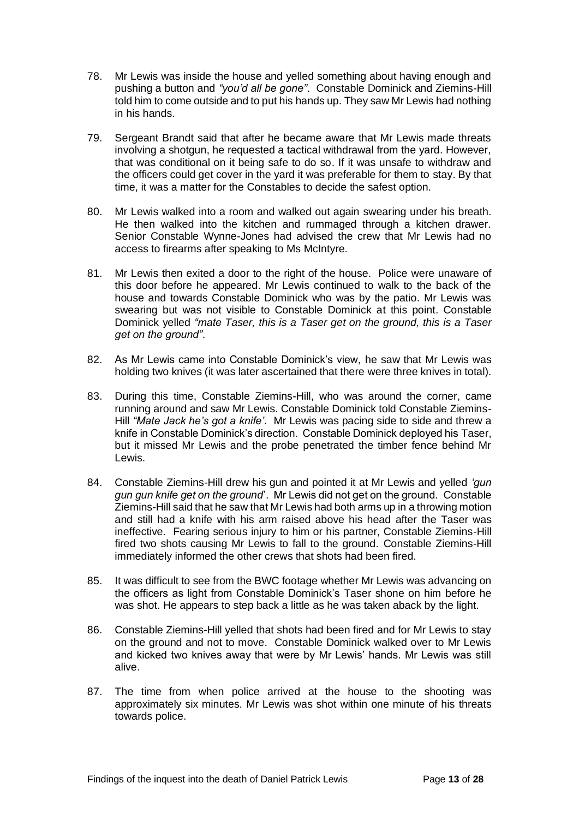- 78. Mr Lewis was inside the house and yelled something about having enough and pushing a button and *"you'd all be gone"*. Constable Dominick and Ziemins-Hill told him to come outside and to put his hands up. They saw Mr Lewis had nothing in his hands.
- 79. Sergeant Brandt said that after he became aware that Mr Lewis made threats involving a shotgun, he requested a tactical withdrawal from the yard. However, that was conditional on it being safe to do so. If it was unsafe to withdraw and the officers could get cover in the yard it was preferable for them to stay. By that time, it was a matter for the Constables to decide the safest option.
- 80. Mr Lewis walked into a room and walked out again swearing under his breath. He then walked into the kitchen and rummaged through a kitchen drawer. Senior Constable Wynne-Jones had advised the crew that Mr Lewis had no access to firearms after speaking to Ms McIntyre.
- 81. Mr Lewis then exited a door to the right of the house. Police were unaware of this door before he appeared. Mr Lewis continued to walk to the back of the house and towards Constable Dominick who was by the patio. Mr Lewis was swearing but was not visible to Constable Dominick at this point. Constable Dominick yelled *"mate Taser, this is a Taser get on the ground, this is a Taser get on the ground"*.
- 82. As Mr Lewis came into Constable Dominick's view, he saw that Mr Lewis was holding two knives (it was later ascertained that there were three knives in total).
- 83. During this time, Constable Ziemins-Hill, who was around the corner, came running around and saw Mr Lewis. Constable Dominick told Constable Ziemins-Hill *"Mate Jack he's got a knife'*. Mr Lewis was pacing side to side and threw a knife in Constable Dominick's direction. Constable Dominick deployed his Taser, but it missed Mr Lewis and the probe penetrated the timber fence behind Mr Lewis.
- 84. Constable Ziemins-Hill drew his gun and pointed it at Mr Lewis and yelled *'gun gun gun knife get on the ground*'. Mr Lewis did not get on the ground. Constable Ziemins-Hill said that he saw that Mr Lewis had both arms up in a throwing motion and still had a knife with his arm raised above his head after the Taser was ineffective. Fearing serious injury to him or his partner, Constable Ziemins-Hill fired two shots causing Mr Lewis to fall to the ground. Constable Ziemins-Hill immediately informed the other crews that shots had been fired.
- 85. It was difficult to see from the BWC footage whether Mr Lewis was advancing on the officers as light from Constable Dominick's Taser shone on him before he was shot. He appears to step back a little as he was taken aback by the light.
- 86. Constable Ziemins-Hill yelled that shots had been fired and for Mr Lewis to stay on the ground and not to move. Constable Dominick walked over to Mr Lewis and kicked two knives away that were by Mr Lewis' hands. Mr Lewis was still alive.
- 87. The time from when police arrived at the house to the shooting was approximately six minutes. Mr Lewis was shot within one minute of his threats towards police.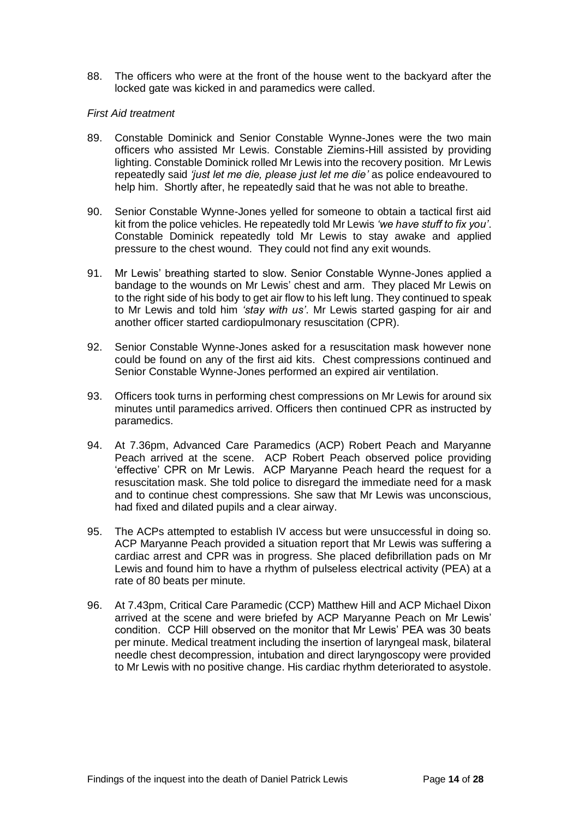88. The officers who were at the front of the house went to the backyard after the locked gate was kicked in and paramedics were called.

#### *First Aid treatment*

- 89. Constable Dominick and Senior Constable Wynne-Jones were the two main officers who assisted Mr Lewis. Constable Ziemins-Hill assisted by providing lighting. Constable Dominick rolled Mr Lewis into the recovery position. Mr Lewis repeatedly said *'just let me die, please just let me die'* as police endeavoured to help him. Shortly after, he repeatedly said that he was not able to breathe.
- 90. Senior Constable Wynne-Jones yelled for someone to obtain a tactical first aid kit from the police vehicles. He repeatedly told Mr Lewis *'we have stuff to fix you'*. Constable Dominick repeatedly told Mr Lewis to stay awake and applied pressure to the chest wound. They could not find any exit wounds.
- 91. Mr Lewis' breathing started to slow. Senior Constable Wynne-Jones applied a bandage to the wounds on Mr Lewis' chest and arm. They placed Mr Lewis on to the right side of his body to get air flow to his left lung. They continued to speak to Mr Lewis and told him *'stay with us'*. Mr Lewis started gasping for air and another officer started cardiopulmonary resuscitation (CPR).
- 92. Senior Constable Wynne-Jones asked for a resuscitation mask however none could be found on any of the first aid kits. Chest compressions continued and Senior Constable Wynne-Jones performed an expired air ventilation.
- 93. Officers took turns in performing chest compressions on Mr Lewis for around six minutes until paramedics arrived. Officers then continued CPR as instructed by paramedics.
- 94. At 7.36pm, Advanced Care Paramedics (ACP) Robert Peach and Maryanne Peach arrived at the scene. ACP Robert Peach observed police providing 'effective' CPR on Mr Lewis. ACP Maryanne Peach heard the request for a resuscitation mask. She told police to disregard the immediate need for a mask and to continue chest compressions. She saw that Mr Lewis was unconscious, had fixed and dilated pupils and a clear airway.
- 95. The ACPs attempted to establish IV access but were unsuccessful in doing so. ACP Maryanne Peach provided a situation report that Mr Lewis was suffering a cardiac arrest and CPR was in progress. She placed defibrillation pads on Mr Lewis and found him to have a rhythm of pulseless electrical activity (PEA) at a rate of 80 beats per minute.
- 96. At 7.43pm, Critical Care Paramedic (CCP) Matthew Hill and ACP Michael Dixon arrived at the scene and were briefed by ACP Maryanne Peach on Mr Lewis' condition. CCP Hill observed on the monitor that Mr Lewis' PEA was 30 beats per minute. Medical treatment including the insertion of laryngeal mask, bilateral needle chest decompression, intubation and direct laryngoscopy were provided to Mr Lewis with no positive change. His cardiac rhythm deteriorated to asystole.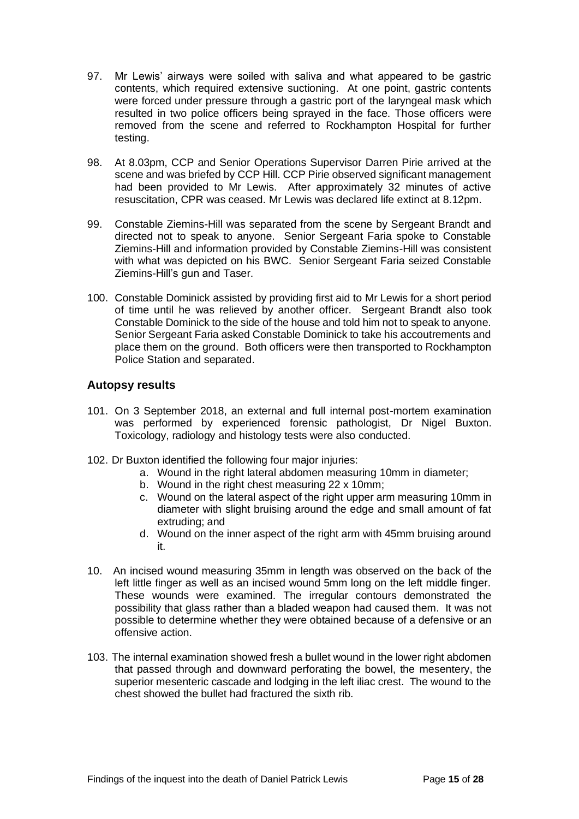- 97. Mr Lewis' airways were soiled with saliva and what appeared to be gastric contents, which required extensive suctioning. At one point, gastric contents were forced under pressure through a gastric port of the laryngeal mask which resulted in two police officers being sprayed in the face. Those officers were removed from the scene and referred to Rockhampton Hospital for further testing.
- 98. At 8.03pm, CCP and Senior Operations Supervisor Darren Pirie arrived at the scene and was briefed by CCP Hill. CCP Pirie observed significant management had been provided to Mr Lewis. After approximately 32 minutes of active resuscitation, CPR was ceased. Mr Lewis was declared life extinct at 8.12pm.
- 99. Constable Ziemins-Hill was separated from the scene by Sergeant Brandt and directed not to speak to anyone. Senior Sergeant Faria spoke to Constable Ziemins-Hill and information provided by Constable Ziemins-Hill was consistent with what was depicted on his BWC. Senior Sergeant Faria seized Constable Ziemins-Hill's gun and Taser.
- 100. Constable Dominick assisted by providing first aid to Mr Lewis for a short period of time until he was relieved by another officer. Sergeant Brandt also took Constable Dominick to the side of the house and told him not to speak to anyone. Senior Sergeant Faria asked Constable Dominick to take his accoutrements and place them on the ground. Both officers were then transported to Rockhampton Police Station and separated.

### <span id="page-14-0"></span>**Autopsy results**

- 101. On 3 September 2018, an external and full internal post-mortem examination was performed by experienced forensic pathologist, Dr Nigel Buxton. Toxicology, radiology and histology tests were also conducted.
- 102. Dr Buxton identified the following four major injuries:
	- a. Wound in the right lateral abdomen measuring 10mm in diameter;
		- b. Wound in the right chest measuring 22 x 10mm;
		- c. Wound on the lateral aspect of the right upper arm measuring 10mm in diameter with slight bruising around the edge and small amount of fat extruding; and
		- d. Wound on the inner aspect of the right arm with 45mm bruising around it.
- 10. An incised wound measuring 35mm in length was observed on the back of the left little finger as well as an incised wound 5mm long on the left middle finger. These wounds were examined. The irregular contours demonstrated the possibility that glass rather than a bladed weapon had caused them. It was not possible to determine whether they were obtained because of a defensive or an offensive action.
- 103. The internal examination showed fresh a bullet wound in the lower right abdomen that passed through and downward perforating the bowel, the mesentery, the superior mesenteric cascade and lodging in the left iliac crest. The wound to the chest showed the bullet had fractured the sixth rib.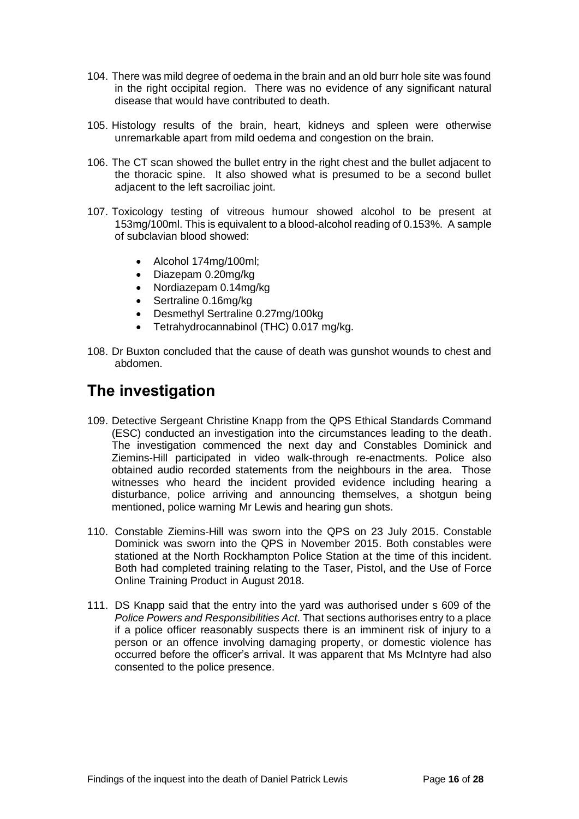- 104. There was mild degree of oedema in the brain and an old burr hole site was found in the right occipital region. There was no evidence of any significant natural disease that would have contributed to death.
- 105. Histology results of the brain, heart, kidneys and spleen were otherwise unremarkable apart from mild oedema and congestion on the brain.
- 106. The CT scan showed the bullet entry in the right chest and the bullet adjacent to the thoracic spine. It also showed what is presumed to be a second bullet adjacent to the left sacroiliac joint.
- 107. Toxicology testing of vitreous humour showed alcohol to be present at 153mg/100ml. This is equivalent to a blood-alcohol reading of 0.153%. A sample of subclavian blood showed:
	- Alcohol 174mg/100ml;
	- Diazepam 0.20mg/kg
	- Nordiazepam 0.14mg/kg
	- Sertraline 0.16mg/kg
	- Desmethyl Sertraline 0.27mg/100kg
	- Tetrahydrocannabinol (THC) 0.017 mg/kg.
- 108. Dr Buxton concluded that the cause of death was gunshot wounds to chest and abdomen.

# <span id="page-15-0"></span>**The investigation**

- 109. Detective Sergeant Christine Knapp from the QPS Ethical Standards Command (ESC) conducted an investigation into the circumstances leading to the death. The investigation commenced the next day and Constables Dominick and Ziemins-Hill participated in video walk-through re-enactments. Police also obtained audio recorded statements from the neighbours in the area. Those witnesses who heard the incident provided evidence including hearing a disturbance, police arriving and announcing themselves, a shotgun being mentioned, police warning Mr Lewis and hearing gun shots.
- 110. Constable Ziemins-Hill was sworn into the QPS on 23 July 2015. Constable Dominick was sworn into the QPS in November 2015. Both constables were stationed at the North Rockhampton Police Station at the time of this incident. Both had completed training relating to the Taser, Pistol, and the Use of Force Online Training Product in August 2018.
- 111. DS Knapp said that the entry into the yard was authorised under s 609 of the *Police Powers and Responsibilities Act*. That sections authorises entry to a place if a police officer reasonably suspects there is an imminent risk of injury to a person or an offence involving damaging property, or domestic violence has occurred before the officer's arrival. It was apparent that Ms McIntyre had also consented to the police presence.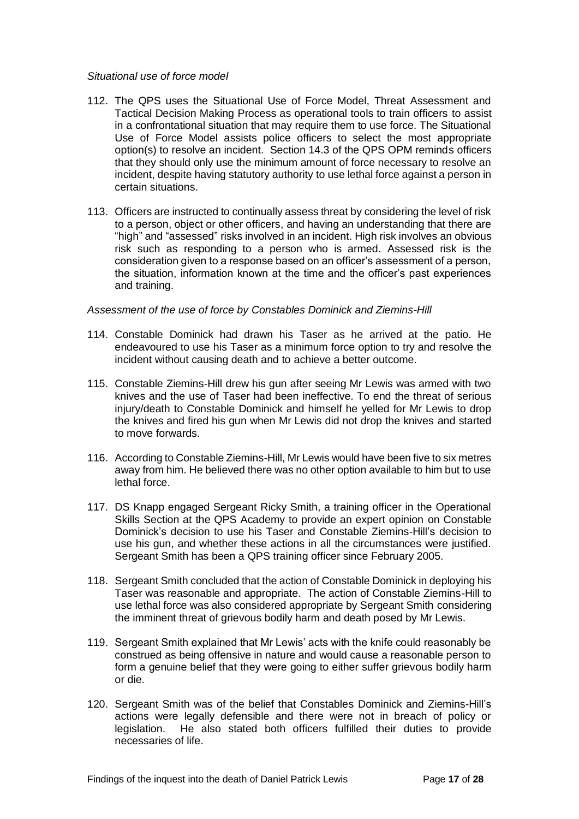#### *Situational use of force model*

- 112. The QPS uses the Situational Use of Force Model, Threat Assessment and Tactical Decision Making Process as operational tools to train officers to assist in a confrontational situation that may require them to use force. The Situational Use of Force Model assists police officers to select the most appropriate option(s) to resolve an incident. Section 14.3 of the QPS OPM reminds officers that they should only use the minimum amount of force necessary to resolve an incident, despite having statutory authority to use lethal force against a person in certain situations.
- 113. Officers are instructed to continually assess threat by considering the level of risk to a person, object or other officers, and having an understanding that there are "high" and "assessed" risks involved in an incident. High risk involves an obvious risk such as responding to a person who is armed. Assessed risk is the consideration given to a response based on an officer's assessment of a person, the situation, information known at the time and the officer's past experiences and training.

#### *Assessment of the use of force by Constables Dominick and Ziemins-Hill*

- 114. Constable Dominick had drawn his Taser as he arrived at the patio. He endeavoured to use his Taser as a minimum force option to try and resolve the incident without causing death and to achieve a better outcome.
- 115. Constable Ziemins-Hill drew his gun after seeing Mr Lewis was armed with two knives and the use of Taser had been ineffective. To end the threat of serious injury/death to Constable Dominick and himself he yelled for Mr Lewis to drop the knives and fired his gun when Mr Lewis did not drop the knives and started to move forwards.
- 116. According to Constable Ziemins-Hill, Mr Lewis would have been five to six metres away from him. He believed there was no other option available to him but to use lethal force.
- 117. DS Knapp engaged Sergeant Ricky Smith, a training officer in the Operational Skills Section at the QPS Academy to provide an expert opinion on Constable Dominick's decision to use his Taser and Constable Ziemins-Hill's decision to use his gun, and whether these actions in all the circumstances were justified. Sergeant Smith has been a QPS training officer since February 2005.
- 118. Sergeant Smith concluded that the action of Constable Dominick in deploying his Taser was reasonable and appropriate. The action of Constable Ziemins-Hill to use lethal force was also considered appropriate by Sergeant Smith considering the imminent threat of grievous bodily harm and death posed by Mr Lewis.
- 119. Sergeant Smith explained that Mr Lewis' acts with the knife could reasonably be construed as being offensive in nature and would cause a reasonable person to form a genuine belief that they were going to either suffer grievous bodily harm or die.
- 120. Sergeant Smith was of the belief that Constables Dominick and Ziemins-Hill's actions were legally defensible and there were not in breach of policy or legislation. He also stated both officers fulfilled their duties to provide necessaries of life.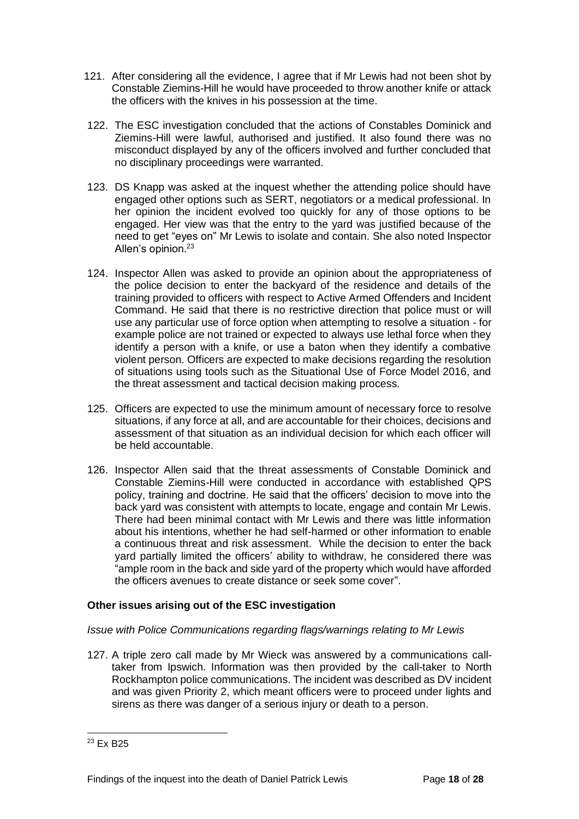- 121. After considering all the evidence, I agree that if Mr Lewis had not been shot by Constable Ziemins-Hill he would have proceeded to throw another knife or attack the officers with the knives in his possession at the time.
- 122. The ESC investigation concluded that the actions of Constables Dominick and Ziemins-Hill were lawful, authorised and justified. It also found there was no misconduct displayed by any of the officers involved and further concluded that no disciplinary proceedings were warranted.
- 123. DS Knapp was asked at the inquest whether the attending police should have engaged other options such as SERT, negotiators or a medical professional. In her opinion the incident evolved too quickly for any of those options to be engaged. Her view was that the entry to the yard was justified because of the need to get "eyes on" Mr Lewis to isolate and contain. She also noted Inspector Allen's opinion.<sup>23</sup>
- 124. Inspector Allen was asked to provide an opinion about the appropriateness of the police decision to enter the backyard of the residence and details of the training provided to officers with respect to Active Armed Offenders and Incident Command. He said that there is no restrictive direction that police must or will use any particular use of force option when attempting to resolve a situation - for example police are not trained or expected to always use lethal force when they identify a person with a knife, or use a baton when they identify a combative violent person. Officers are expected to make decisions regarding the resolution of situations using tools such as the Situational Use of Force Model 2016, and the threat assessment and tactical decision making process.
- 125. Officers are expected to use the minimum amount of necessary force to resolve situations, if any force at all, and are accountable for their choices, decisions and assessment of that situation as an individual decision for which each officer will be held accountable.
- 126. Inspector Allen said that the threat assessments of Constable Dominick and Constable Ziemins-Hill were conducted in accordance with established QPS policy, training and doctrine. He said that the officers' decision to move into the back yard was consistent with attempts to locate, engage and contain Mr Lewis. There had been minimal contact with Mr Lewis and there was little information about his intentions, whether he had self-harmed or other information to enable a continuous threat and risk assessment. While the decision to enter the back yard partially limited the officers' ability to withdraw, he considered there was "ample room in the back and side yard of the property which would have afforded the officers avenues to create distance or seek some cover".

#### **Other issues arising out of the ESC investigation**

#### *Issue with Police Communications regarding flags/warnings relating to Mr Lewis*

127. A triple zero call made by Mr Wieck was answered by a communications calltaker from Ipswich. Information was then provided by the call-taker to North Rockhampton police communications. The incident was described as DV incident and was given Priority 2, which meant officers were to proceed under lights and sirens as there was danger of a serious injury or death to a person.

<sup>23</sup> Ex B25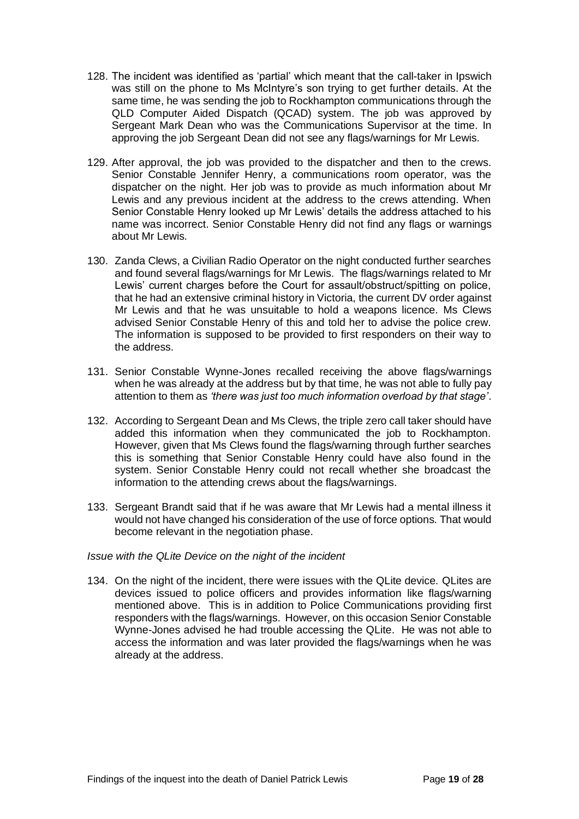- 128. The incident was identified as 'partial' which meant that the call-taker in Ipswich was still on the phone to Ms McIntyre's son trying to get further details. At the same time, he was sending the job to Rockhampton communications through the QLD Computer Aided Dispatch (QCAD) system. The job was approved by Sergeant Mark Dean who was the Communications Supervisor at the time. In approving the job Sergeant Dean did not see any flags/warnings for Mr Lewis.
- 129. After approval, the job was provided to the dispatcher and then to the crews. Senior Constable Jennifer Henry, a communications room operator, was the dispatcher on the night. Her job was to provide as much information about Mr Lewis and any previous incident at the address to the crews attending. When Senior Constable Henry looked up Mr Lewis' details the address attached to his name was incorrect. Senior Constable Henry did not find any flags or warnings about Mr Lewis.
- 130. Zanda Clews, a Civilian Radio Operator on the night conducted further searches and found several flags/warnings for Mr Lewis. The flags/warnings related to Mr Lewis' current charges before the Court for assault/obstruct/spitting on police, that he had an extensive criminal history in Victoria, the current DV order against Mr Lewis and that he was unsuitable to hold a weapons licence. Ms Clews advised Senior Constable Henry of this and told her to advise the police crew. The information is supposed to be provided to first responders on their way to the address.
- 131. Senior Constable Wynne-Jones recalled receiving the above flags/warnings when he was already at the address but by that time, he was not able to fully pay attention to them as *'there was just too much information overload by that stage'*.
- 132. According to Sergeant Dean and Ms Clews, the triple zero call taker should have added this information when they communicated the job to Rockhampton. However, given that Ms Clews found the flags/warning through further searches this is something that Senior Constable Henry could have also found in the system. Senior Constable Henry could not recall whether she broadcast the information to the attending crews about the flags/warnings.
- 133. Sergeant Brandt said that if he was aware that Mr Lewis had a mental illness it would not have changed his consideration of the use of force options. That would become relevant in the negotiation phase.

#### *Issue with the QLite Device on the night of the incident*

134. On the night of the incident, there were issues with the QLite device. QLites are devices issued to police officers and provides information like flags/warning mentioned above. This is in addition to Police Communications providing first responders with the flags/warnings. However, on this occasion Senior Constable Wynne-Jones advised he had trouble accessing the QLite. He was not able to access the information and was later provided the flags/warnings when he was already at the address.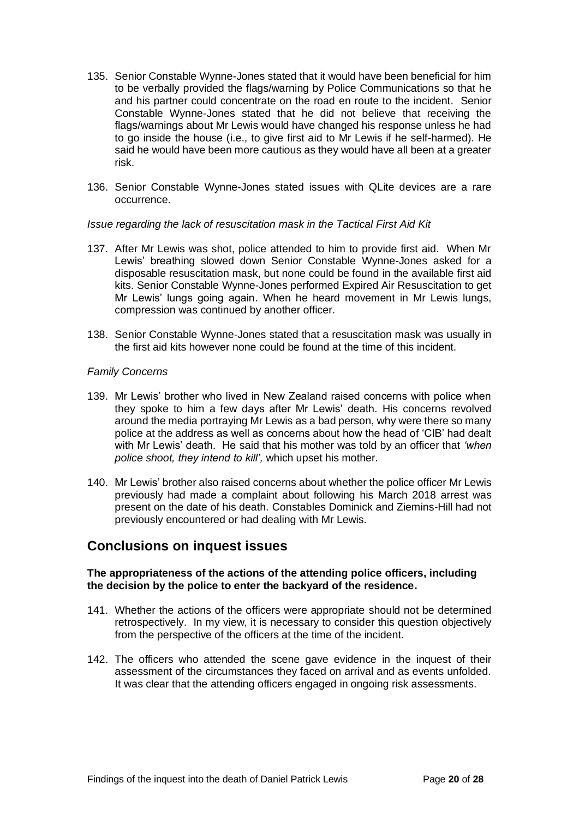- 135. Senior Constable Wynne-Jones stated that it would have been beneficial for him to be verbally provided the flags/warning by Police Communications so that he and his partner could concentrate on the road en route to the incident. Senior Constable Wynne-Jones stated that he did not believe that receiving the flags/warnings about Mr Lewis would have changed his response unless he had to go inside the house (i.e., to give first aid to Mr Lewis if he self-harmed). He said he would have been more cautious as they would have all been at a greater risk.
- 136. Senior Constable Wynne-Jones stated issues with QLite devices are a rare occurrence.

#### *Issue regarding the lack of resuscitation mask in the Tactical First Aid Kit*

- 137. After Mr Lewis was shot, police attended to him to provide first aid. When Mr Lewis' breathing slowed down Senior Constable Wynne-Jones asked for a disposable resuscitation mask, but none could be found in the available first aid kits. Senior Constable Wynne-Jones performed Expired Air Resuscitation to get Mr Lewis' lungs going again. When he heard movement in Mr Lewis lungs, compression was continued by another officer.
- 138. Senior Constable Wynne-Jones stated that a resuscitation mask was usually in the first aid kits however none could be found at the time of this incident.

#### *Family Concerns*

- 139. Mr Lewis' brother who lived in New Zealand raised concerns with police when they spoke to him a few days after Mr Lewis' death. His concerns revolved around the media portraying Mr Lewis as a bad person, why were there so many police at the address as well as concerns about how the head of 'CIB' had dealt with Mr Lewis' death. He said that his mother was told by an officer that *'when police shoot, they intend to kill',* which upset his mother.
- 140. Mr Lewis' brother also raised concerns about whether the police officer Mr Lewis previously had made a complaint about following his March 2018 arrest was present on the date of his death. Constables Dominick and Ziemins-Hill had not previously encountered or had dealing with Mr Lewis.

### <span id="page-19-0"></span>**Conclusions on inquest issues**

#### **The appropriateness of the actions of the attending police officers, including the decision by the police to enter the backyard of the residence.**

- 141. Whether the actions of the officers were appropriate should not be determined retrospectively. In my view, it is necessary to consider this question objectively from the perspective of the officers at the time of the incident.
- 142. The officers who attended the scene gave evidence in the inquest of their assessment of the circumstances they faced on arrival and as events unfolded. It was clear that the attending officers engaged in ongoing risk assessments.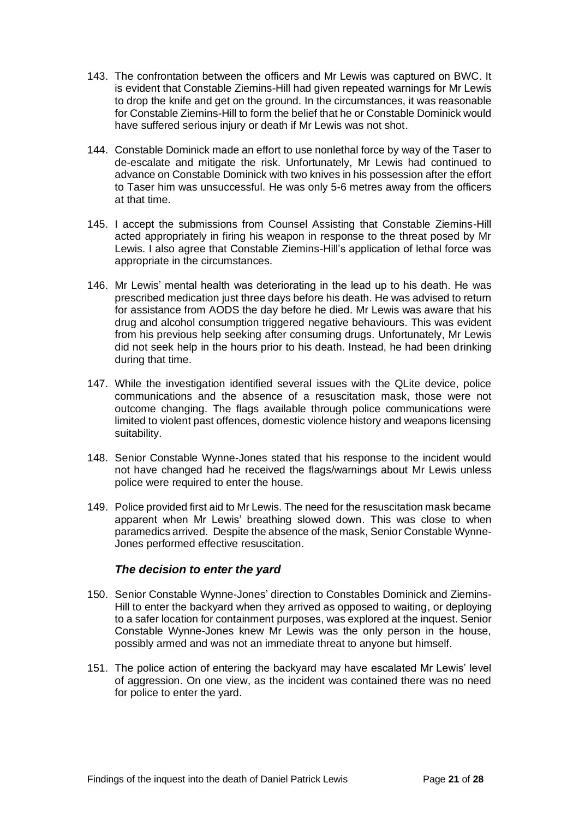- 143. The confrontation between the officers and Mr Lewis was captured on BWC. It is evident that Constable Ziemins-Hill had given repeated warnings for Mr Lewis to drop the knife and get on the ground. In the circumstances, it was reasonable for Constable Ziemins-Hill to form the belief that he or Constable Dominick would have suffered serious injury or death if Mr Lewis was not shot.
- 144. Constable Dominick made an effort to use nonlethal force by way of the Taser to de-escalate and mitigate the risk. Unfortunately, Mr Lewis had continued to advance on Constable Dominick with two knives in his possession after the effort to Taser him was unsuccessful. He was only 5-6 metres away from the officers at that time.
- 145. I accept the submissions from Counsel Assisting that Constable Ziemins-Hill acted appropriately in firing his weapon in response to the threat posed by Mr Lewis. I also agree that Constable Ziemins-Hill's application of lethal force was appropriate in the circumstances.
- 146. Mr Lewis' mental health was deteriorating in the lead up to his death. He was prescribed medication just three days before his death. He was advised to return for assistance from AODS the day before he died. Mr Lewis was aware that his drug and alcohol consumption triggered negative behaviours. This was evident from his previous help seeking after consuming drugs. Unfortunately, Mr Lewis did not seek help in the hours prior to his death. Instead, he had been drinking during that time.
- 147. While the investigation identified several issues with the QLite device, police communications and the absence of a resuscitation mask, those were not outcome changing. The flags available through police communications were limited to violent past offences, domestic violence history and weapons licensing suitability.
- 148. Senior Constable Wynne-Jones stated that his response to the incident would not have changed had he received the flags/warnings about Mr Lewis unless police were required to enter the house.
- 149. Police provided first aid to Mr Lewis. The need for the resuscitation mask became apparent when Mr Lewis' breathing slowed down. This was close to when paramedics arrived. Despite the absence of the mask, Senior Constable Wynne-Jones performed effective resuscitation.

#### *The decision to enter the yard*

- 150. Senior Constable Wynne-Jones' direction to Constables Dominick and Ziemins-Hill to enter the backyard when they arrived as opposed to waiting, or deploying to a safer location for containment purposes, was explored at the inquest. Senior Constable Wynne-Jones knew Mr Lewis was the only person in the house, possibly armed and was not an immediate threat to anyone but himself.
- 151. The police action of entering the backyard may have escalated Mr Lewis' level of aggression. On one view, as the incident was contained there was no need for police to enter the yard.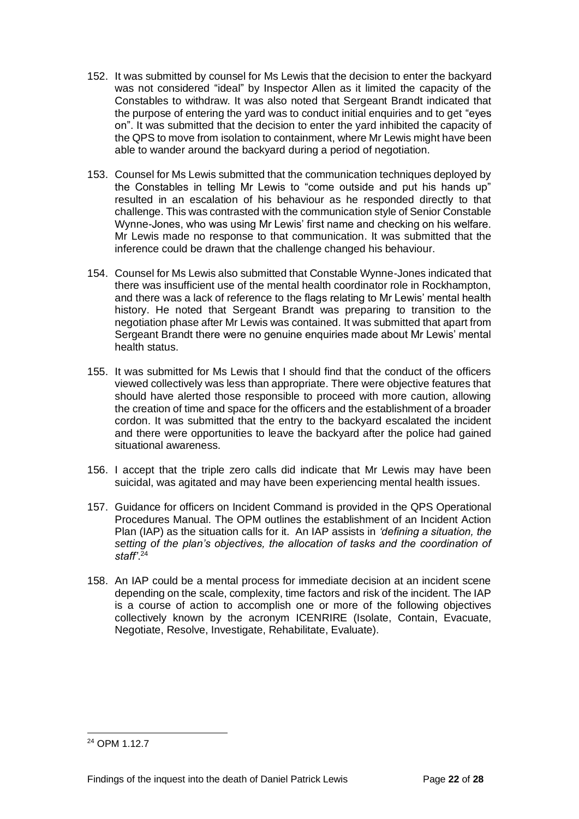- 152. It was submitted by counsel for Ms Lewis that the decision to enter the backyard was not considered "ideal" by Inspector Allen as it limited the capacity of the Constables to withdraw. It was also noted that Sergeant Brandt indicated that the purpose of entering the yard was to conduct initial enquiries and to get "eyes on". It was submitted that the decision to enter the yard inhibited the capacity of the QPS to move from isolation to containment, where Mr Lewis might have been able to wander around the backyard during a period of negotiation.
- 153. Counsel for Ms Lewis submitted that the communication techniques deployed by the Constables in telling Mr Lewis to "come outside and put his hands up" resulted in an escalation of his behaviour as he responded directly to that challenge. This was contrasted with the communication style of Senior Constable Wynne-Jones, who was using Mr Lewis' first name and checking on his welfare. Mr Lewis made no response to that communication. It was submitted that the inference could be drawn that the challenge changed his behaviour.
- 154. Counsel for Ms Lewis also submitted that Constable Wynne-Jones indicated that there was insufficient use of the mental health coordinator role in Rockhampton, and there was a lack of reference to the flags relating to Mr Lewis' mental health history. He noted that Sergeant Brandt was preparing to transition to the negotiation phase after Mr Lewis was contained. It was submitted that apart from Sergeant Brandt there were no genuine enquiries made about Mr Lewis' mental health status.
- 155. It was submitted for Ms Lewis that I should find that the conduct of the officers viewed collectively was less than appropriate. There were objective features that should have alerted those responsible to proceed with more caution, allowing the creation of time and space for the officers and the establishment of a broader cordon. It was submitted that the entry to the backyard escalated the incident and there were opportunities to leave the backyard after the police had gained situational awareness.
- 156. I accept that the triple zero calls did indicate that Mr Lewis may have been suicidal, was agitated and may have been experiencing mental health issues.
- 157. Guidance for officers on Incident Command is provided in the QPS Operational Procedures Manual. The OPM outlines the establishment of an Incident Action Plan (IAP) as the situation calls for it. An IAP assists in *'defining a situation, the setting of the plan's objectives, the allocation of tasks and the coordination of staff'*. 24
- 158. An IAP could be a mental process for immediate decision at an incident scene depending on the scale, complexity, time factors and risk of the incident. The IAP is a course of action to accomplish one or more of the following objectives collectively known by the acronym ICENRIRE (Isolate, Contain, Evacuate, Negotiate, Resolve, Investigate, Rehabilitate, Evaluate).

<sup>&</sup>lt;sup>24</sup> OPM 1.12.7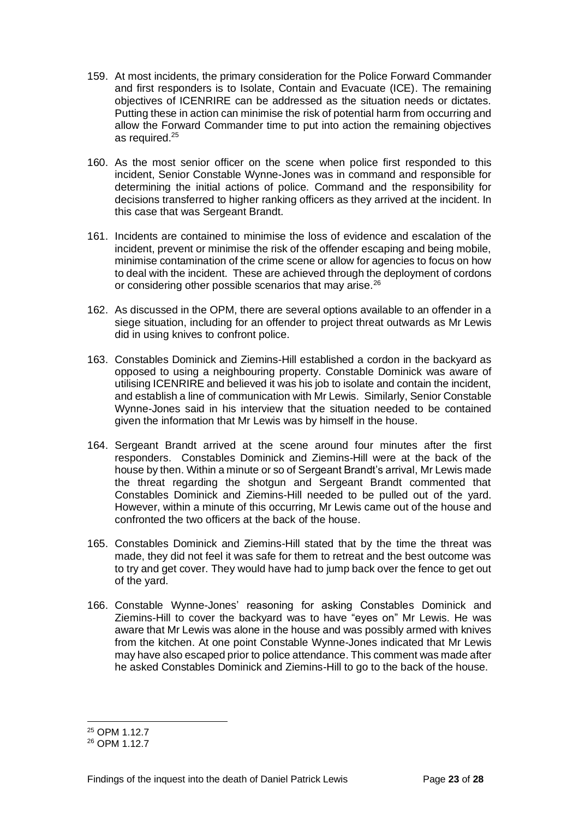- 159. At most incidents, the primary consideration for the Police Forward Commander and first responders is to Isolate, Contain and Evacuate (ICE). The remaining objectives of ICENRIRE can be addressed as the situation needs or dictates. Putting these in action can minimise the risk of potential harm from occurring and allow the Forward Commander time to put into action the remaining objectives as required.<sup>25</sup>
- 160. As the most senior officer on the scene when police first responded to this incident, Senior Constable Wynne-Jones was in command and responsible for determining the initial actions of police. Command and the responsibility for decisions transferred to higher ranking officers as they arrived at the incident. In this case that was Sergeant Brandt.
- 161. Incidents are contained to minimise the loss of evidence and escalation of the incident, prevent or minimise the risk of the offender escaping and being mobile, minimise contamination of the crime scene or allow for agencies to focus on how to deal with the incident. These are achieved through the deployment of cordons or considering other possible scenarios that may arise.<sup>26</sup>
- 162. As discussed in the OPM, there are several options available to an offender in a siege situation, including for an offender to project threat outwards as Mr Lewis did in using knives to confront police.
- 163. Constables Dominick and Ziemins-Hill established a cordon in the backyard as opposed to using a neighbouring property. Constable Dominick was aware of utilising ICENRIRE and believed it was his job to isolate and contain the incident, and establish a line of communication with Mr Lewis. Similarly, Senior Constable Wynne-Jones said in his interview that the situation needed to be contained given the information that Mr Lewis was by himself in the house.
- 164. Sergeant Brandt arrived at the scene around four minutes after the first responders. Constables Dominick and Ziemins-Hill were at the back of the house by then. Within a minute or so of Sergeant Brandt's arrival, Mr Lewis made the threat regarding the shotgun and Sergeant Brandt commented that Constables Dominick and Ziemins-Hill needed to be pulled out of the yard. However, within a minute of this occurring, Mr Lewis came out of the house and confronted the two officers at the back of the house.
- 165. Constables Dominick and Ziemins-Hill stated that by the time the threat was made, they did not feel it was safe for them to retreat and the best outcome was to try and get cover. They would have had to jump back over the fence to get out of the yard.
- 166. Constable Wynne-Jones' reasoning for asking Constables Dominick and Ziemins-Hill to cover the backyard was to have "eyes on" Mr Lewis. He was aware that Mr Lewis was alone in the house and was possibly armed with knives from the kitchen. At one point Constable Wynne-Jones indicated that Mr Lewis may have also escaped prior to police attendance. This comment was made after he asked Constables Dominick and Ziemins-Hill to go to the back of the house.

<sup>25</sup> OPM 1.12.7

<sup>&</sup>lt;sup>26</sup> OPM 1.12.7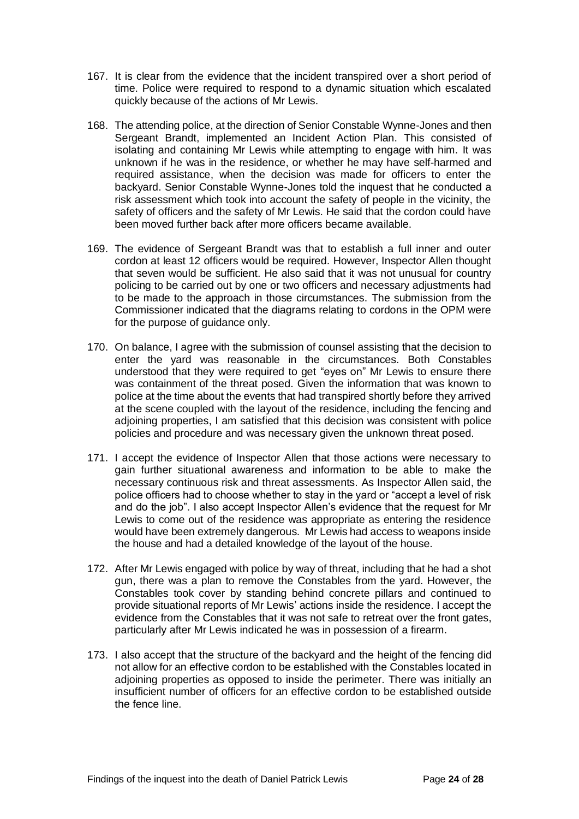- 167. It is clear from the evidence that the incident transpired over a short period of time. Police were required to respond to a dynamic situation which escalated quickly because of the actions of Mr Lewis.
- 168. The attending police, at the direction of Senior Constable Wynne-Jones and then Sergeant Brandt, implemented an Incident Action Plan. This consisted of isolating and containing Mr Lewis while attempting to engage with him. It was unknown if he was in the residence, or whether he may have self-harmed and required assistance, when the decision was made for officers to enter the backyard. Senior Constable Wynne-Jones told the inquest that he conducted a risk assessment which took into account the safety of people in the vicinity, the safety of officers and the safety of Mr Lewis. He said that the cordon could have been moved further back after more officers became available.
- 169. The evidence of Sergeant Brandt was that to establish a full inner and outer cordon at least 12 officers would be required. However, Inspector Allen thought that seven would be sufficient. He also said that it was not unusual for country policing to be carried out by one or two officers and necessary adjustments had to be made to the approach in those circumstances. The submission from the Commissioner indicated that the diagrams relating to cordons in the OPM were for the purpose of quidance only.
- 170. On balance, I agree with the submission of counsel assisting that the decision to enter the yard was reasonable in the circumstances. Both Constables understood that they were required to get "eyes on" Mr Lewis to ensure there was containment of the threat posed. Given the information that was known to police at the time about the events that had transpired shortly before they arrived at the scene coupled with the layout of the residence, including the fencing and adjoining properties, I am satisfied that this decision was consistent with police policies and procedure and was necessary given the unknown threat posed.
- 171. I accept the evidence of Inspector Allen that those actions were necessary to gain further situational awareness and information to be able to make the necessary continuous risk and threat assessments. As Inspector Allen said, the police officers had to choose whether to stay in the yard or "accept a level of risk and do the job". I also accept Inspector Allen's evidence that the request for Mr Lewis to come out of the residence was appropriate as entering the residence would have been extremely dangerous. Mr Lewis had access to weapons inside the house and had a detailed knowledge of the layout of the house.
- 172. After Mr Lewis engaged with police by way of threat, including that he had a shot gun, there was a plan to remove the Constables from the yard. However, the Constables took cover by standing behind concrete pillars and continued to provide situational reports of Mr Lewis' actions inside the residence. I accept the evidence from the Constables that it was not safe to retreat over the front gates, particularly after Mr Lewis indicated he was in possession of a firearm.
- 173. I also accept that the structure of the backyard and the height of the fencing did not allow for an effective cordon to be established with the Constables located in adjoining properties as opposed to inside the perimeter. There was initially an insufficient number of officers for an effective cordon to be established outside the fence line.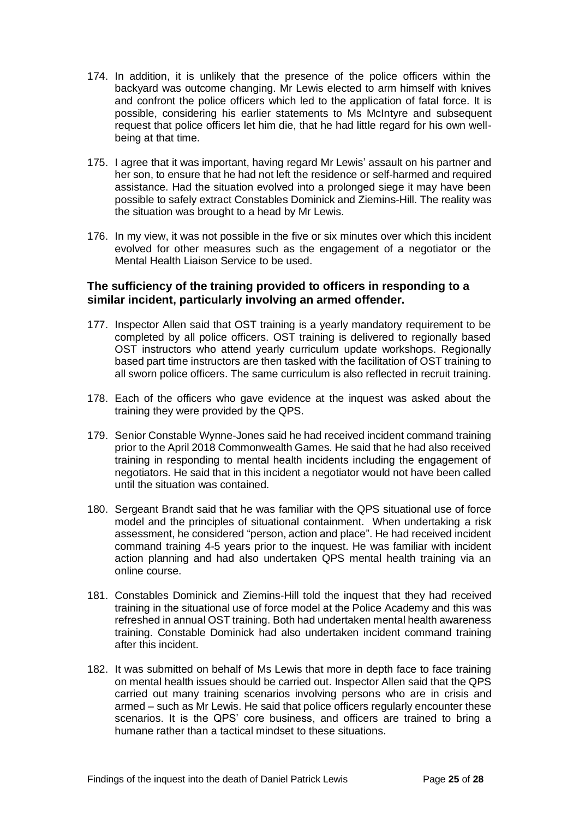- 174. In addition, it is unlikely that the presence of the police officers within the backyard was outcome changing. Mr Lewis elected to arm himself with knives and confront the police officers which led to the application of fatal force. It is possible, considering his earlier statements to Ms McIntyre and subsequent request that police officers let him die, that he had little regard for his own wellbeing at that time.
- 175. I agree that it was important, having regard Mr Lewis' assault on his partner and her son, to ensure that he had not left the residence or self-harmed and required assistance. Had the situation evolved into a prolonged siege it may have been possible to safely extract Constables Dominick and Ziemins-Hill. The reality was the situation was brought to a head by Mr Lewis.
- 176. In my view, it was not possible in the five or six minutes over which this incident evolved for other measures such as the engagement of a negotiator or the Mental Health Liaison Service to be used.

#### **The sufficiency of the training provided to officers in responding to a similar incident, particularly involving an armed offender.**

- 177. Inspector Allen said that OST training is a yearly mandatory requirement to be completed by all police officers. OST training is delivered to regionally based OST instructors who attend yearly curriculum update workshops. Regionally based part time instructors are then tasked with the facilitation of OST training to all sworn police officers. The same curriculum is also reflected in recruit training.
- 178. Each of the officers who gave evidence at the inquest was asked about the training they were provided by the QPS.
- 179. Senior Constable Wynne-Jones said he had received incident command training prior to the April 2018 Commonwealth Games. He said that he had also received training in responding to mental health incidents including the engagement of negotiators. He said that in this incident a negotiator would not have been called until the situation was contained.
- 180. Sergeant Brandt said that he was familiar with the QPS situational use of force model and the principles of situational containment. When undertaking a risk assessment, he considered "person, action and place". He had received incident command training 4-5 years prior to the inquest. He was familiar with incident action planning and had also undertaken QPS mental health training via an online course.
- 181. Constables Dominick and Ziemins-Hill told the inquest that they had received training in the situational use of force model at the Police Academy and this was refreshed in annual OST training. Both had undertaken mental health awareness training. Constable Dominick had also undertaken incident command training after this incident.
- 182. It was submitted on behalf of Ms Lewis that more in depth face to face training on mental health issues should be carried out. Inspector Allen said that the QPS carried out many training scenarios involving persons who are in crisis and armed – such as Mr Lewis. He said that police officers regularly encounter these scenarios. It is the QPS' core business, and officers are trained to bring a humane rather than a tactical mindset to these situations.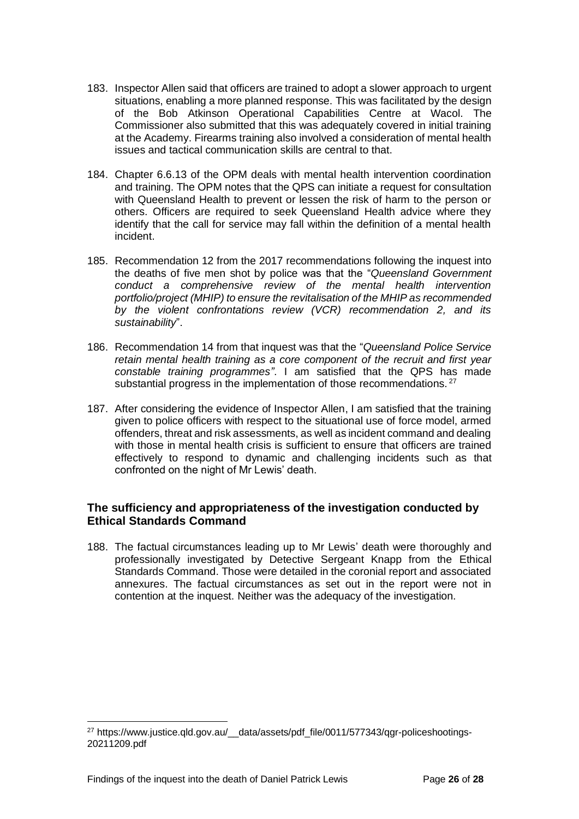- 183. Inspector Allen said that officers are trained to adopt a slower approach to urgent situations, enabling a more planned response. This was facilitated by the design of the Bob Atkinson Operational Capabilities Centre at Wacol. The Commissioner also submitted that this was adequately covered in initial training at the Academy. Firearms training also involved a consideration of mental health issues and tactical communication skills are central to that.
- 184. Chapter 6.6.13 of the OPM deals with mental health intervention coordination and training. The OPM notes that the QPS can initiate a request for consultation with Queensland Health to prevent or lessen the risk of harm to the person or others. Officers are required to seek Queensland Health advice where they identify that the call for service may fall within the definition of a mental health incident.
- 185. Recommendation 12 from the 2017 recommendations following the inquest into the deaths of five men shot by police was that the "*Queensland Government conduct a comprehensive review of the mental health intervention portfolio/project (MHIP) to ensure the revitalisation of the MHIP as recommended by the violent confrontations review (VCR) recommendation 2, and its sustainability*".
- 186. Recommendation 14 from that inquest was that the "*Queensland Police Service retain mental health training as a core component of the recruit and first year constable training programmes"*. I am satisfied that the QPS has made substantial progress in the implementation of those recommendations.<sup>27</sup>
- 187. After considering the evidence of Inspector Allen, I am satisfied that the training given to police officers with respect to the situational use of force model, armed offenders, threat and risk assessments, as well as incident command and dealing with those in mental health crisis is sufficient to ensure that officers are trained effectively to respond to dynamic and challenging incidents such as that confronted on the night of Mr Lewis' death.

### **The sufficiency and appropriateness of the investigation conducted by Ethical Standards Command**

188. The factual circumstances leading up to Mr Lewis' death were thoroughly and professionally investigated by Detective Sergeant Knapp from the Ethical Standards Command. Those were detailed in the coronial report and associated annexures. The factual circumstances as set out in the report were not in contention at the inquest. Neither was the adequacy of the investigation.

<sup>&</sup>lt;sup>27</sup> https://www.justice.qld.gov.au/ data/assets/pdf\_file/0011/577343/qgr-policeshootings-20211209.pdf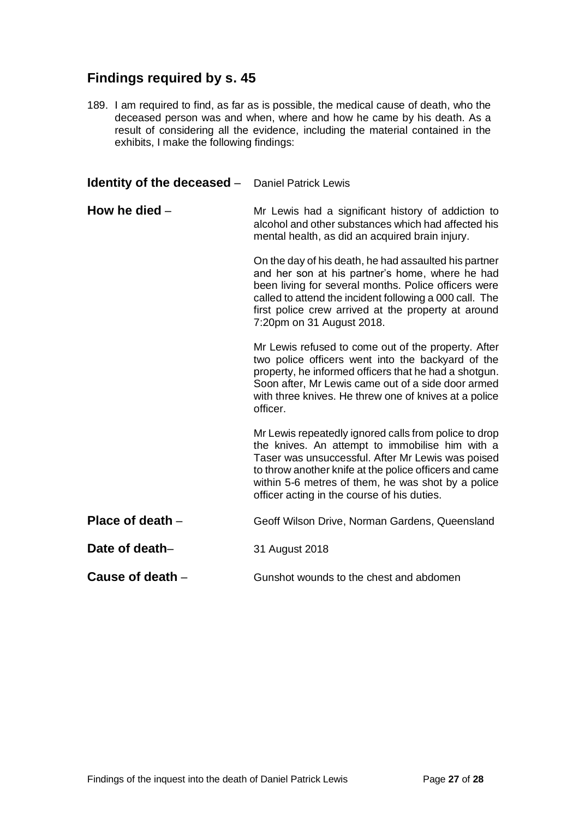# **Findings required by s. 45**

189. I am required to find, as far as is possible, the medical cause of death, who the deceased person was and when, where and how he came by his death. As a result of considering all the evidence, including the material contained in the exhibits, I make the following findings:

<span id="page-26-4"></span><span id="page-26-3"></span><span id="page-26-2"></span><span id="page-26-1"></span><span id="page-26-0"></span>

| <b>Identity of the deceased -</b> Daniel Patrick Lewis |                                                                                                                                                                                                                                                                                                                              |
|--------------------------------------------------------|------------------------------------------------------------------------------------------------------------------------------------------------------------------------------------------------------------------------------------------------------------------------------------------------------------------------------|
| How he died $-$                                        | Mr Lewis had a significant history of addiction to<br>alcohol and other substances which had affected his<br>mental health, as did an acquired brain injury.                                                                                                                                                                 |
|                                                        | On the day of his death, he had assaulted his partner<br>and her son at his partner's home, where he had<br>been living for several months. Police officers were<br>called to attend the incident following a 000 call. The<br>first police crew arrived at the property at around<br>7:20pm on 31 August 2018.              |
|                                                        | Mr Lewis refused to come out of the property. After<br>two police officers went into the backyard of the<br>property, he informed officers that he had a shotgun.<br>Soon after, Mr Lewis came out of a side door armed<br>with three knives. He threw one of knives at a police<br>officer.                                 |
|                                                        | Mr Lewis repeatedly ignored calls from police to drop<br>the knives. An attempt to immobilise him with a<br>Taser was unsuccessful. After Mr Lewis was poised<br>to throw another knife at the police officers and came<br>within 5-6 metres of them, he was shot by a police<br>officer acting in the course of his duties. |
| Place of death $-$                                     | Geoff Wilson Drive, Norman Gardens, Queensland                                                                                                                                                                                                                                                                               |
| Date of death-                                         | 31 August 2018                                                                                                                                                                                                                                                                                                               |
| Cause of death -                                       | Gunshot wounds to the chest and abdomen                                                                                                                                                                                                                                                                                      |